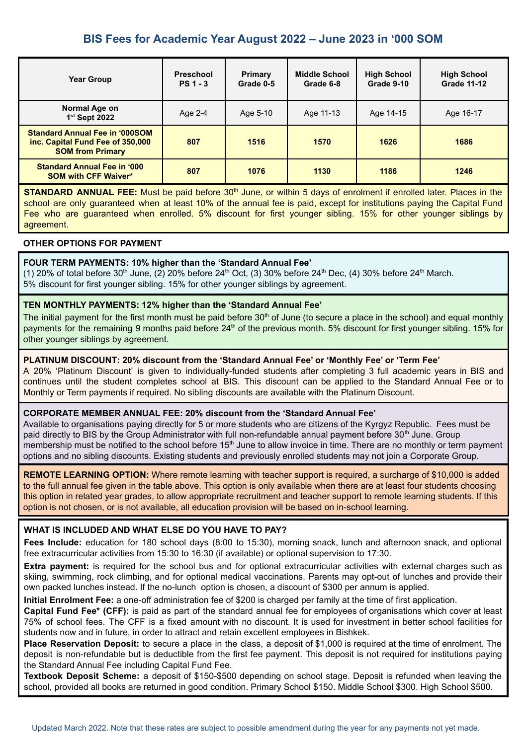# **BIS Fees for Academic Year August 2022 – June 2023 in '000 SOM**

| <b>Year Group</b>                                                                                    | <b>Preschool</b><br>$PS1 - 3$ | <b>Primary</b><br>Grade 0-5 | <b>Middle School</b><br>Grade 6-8 | <b>High School</b><br>Grade 9-10 | <b>High School</b><br><b>Grade 11-12</b> |
|------------------------------------------------------------------------------------------------------|-------------------------------|-----------------------------|-----------------------------------|----------------------------------|------------------------------------------|
| Normal Age on<br>1 <sup>st</sup> Sept 2022                                                           | Age 2-4                       | Age 5-10                    | Age 11-13                         | Age 14-15                        | Age 16-17                                |
| <b>Standard Annual Fee in '000SOM</b><br>inc. Capital Fund Fee of 350,000<br><b>SOM from Primary</b> | 807                           | 1516                        | 1570                              | 1626                             | 1686                                     |
| <b>Standard Annual Fee in '000</b><br><b>SOM with CFF Waiver*</b>                                    | 807                           | 1076                        | 1130                              | 1186                             | 1246                                     |

**STANDARD ANNUAL FEE:** Must be paid before 30<sup>th</sup> June, or within 5 days of enrolment if enrolled later. Places in the school are only guaranteed when at least 10% of the annual fee is paid, except for institutions paying the Capital Fund Fee who are guaranteed when enrolled. 5% discount for first younger sibling. 15% for other younger siblings by agreement.

## **OTHER OPTIONS FOR PAYMENT**

#### **FOUR TERM PAYMENTS: 10% higher than the 'Standard Annual Fee'**

(1) 20% of total before 30<sup>th</sup> June, (2) 20% before 24<sup>th</sup> Oct, (3) 30% before 24<sup>th</sup> Dec, (4) 30% before 24<sup>th</sup> March. 5% discount for first younger sibling. 15% for other younger siblings by agreement.

#### **TEN MONTHLY PAYMENTS: 12% higher than the 'Standard Annual Fee'**

The initial payment for the first month must be paid before 30<sup>th</sup> of June (to secure a place in the school) and equal monthly payments for the remaining 9 months paid before 24<sup>th</sup> of the previous month. 5% discount for first younger sibling. 15% for other younger siblings by agreement.

## **PLATINUM DISCOUNT: 20% discount from the 'Standard Annual Fee' or 'Monthly Fee' or 'Term Fee'**

A 20% 'Platinum Discount' is given to individually-funded students after completing 3 full academic years in BIS and continues until the student completes school at BIS. This discount can be applied to the Standard Annual Fee or to Monthly or Term payments if required. No sibling discounts are available with the Platinum Discount.

#### **CORPORATE MEMBER ANNUAL FEE: 20% discount from the 'Standard Annual Fee'**

Available to organisations paying directly for 5 or more students who are citizens of the Kyrgyz Republic. Fees must be paid directly to BIS by the Group Administrator with full non-refundable annual payment before 30<sup>th</sup> June. Group membership must be notified to the school before 15<sup>th</sup> June to allow invoice in time. There are no monthly or term payment options and no sibling discounts. Existing students and previously enrolled students may not join a Corporate Group.

**REMOTE LEARNING OPTION:** Where remote learning with teacher support is required, a surcharge of \$10,000 is added to the full annual fee given in the table above. This option is only available when there are at least four students choosing this option in related year grades, to allow appropriate recruitment and teacher support to remote learning students. If this option is not chosen, or is not available, all education provision will be based on in-school learning.

# **WHAT IS INCLUDED AND WHAT ELSE DO YOU HAVE TO PAY?**

**Fees Include:** education for 180 school days (8:00 to 15:30), morning snack, lunch and afternoon snack, and optional free extracurricular activities from 15:30 to 16:30 (if available) or optional supervision to 17:30.

**Extra payment:** is required for the school bus and for optional extracurricular activities with external charges such as skiing, swimming, rock climbing, and for optional medical vaccinations. Parents may opt-out of lunches and provide their own packed lunches instead. If the no-lunch option is chosen, a discount of \$300 per annum is applied.

**Initial Enrolment Fee:** a one-off administration fee of \$200 is charged per family at the time of first application.

**Capital Fund Fee\* (CFF):** is paid as part of the standard annual fee for employees of organisations which cover at least 75% of school fees. The CFF is a fixed amount with no discount. It is used for investment in better school facilities for students now and in future, in order to attract and retain excellent employees in Bishkek.

**Place Reservation Deposit:** to secure a place in the class, a deposit of \$1,000 is required at the time of enrolment. The deposit is non-refundable but is deductible from the first fee payment. This deposit is not required for institutions paying the Standard Annual Fee including Capital Fund Fee.

**Textbook Deposit Scheme:** a deposit of \$150-\$500 depending on school stage. Deposit is refunded when leaving the school, provided all books are returned in good condition. Primary School \$150. Middle School \$300. High School \$500.